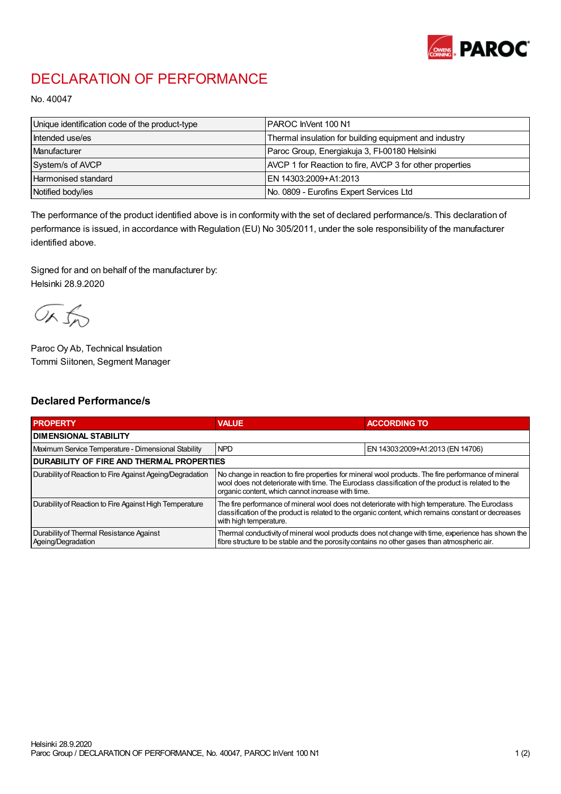

## DECLARATION OF PERFORMANCE

No. 40047

| Unique identification code of the product-type | PAROC InVent 100 N1                                      |
|------------------------------------------------|----------------------------------------------------------|
| Intended use/es                                | Thermal insulation for building equipment and industry   |
| Manufacturer                                   | Paroc Group, Energiakuja 3, FI-00180 Helsinki            |
| System/s of AVCP                               | AVCP 1 for Reaction to fire, AVCP 3 for other properties |
| <b>Harmonised standard</b>                     | EN 14303:2009+A1:2013                                    |
| Notified body/ies                              | No. 0809 - Eurofins Expert Services Ltd                  |

The performance of the product identified above is in conformity with the set of declared performance/s. This declaration of performance is issued, in accordance with Regulation (EU) No 305/2011, under the sole responsibility of the manufacturer identified above.

Signed for and on behalf of the manufacturer by: Helsinki 28.9.2020

ORJO

Paroc Oy Ab, Technical Insulation Tommi Siitonen, Segment Manager

## Declared Performance/s

| <b>PROPERTY</b>                                                | <b>VALUE</b>                                                                                                                                                                                                                                                   | <b>ACCORDING TO</b>              |  |
|----------------------------------------------------------------|----------------------------------------------------------------------------------------------------------------------------------------------------------------------------------------------------------------------------------------------------------------|----------------------------------|--|
| <b>I DIMENSIONAL STABILITY</b>                                 |                                                                                                                                                                                                                                                                |                                  |  |
| Maximum Service Temperature - Dimensional Stability            | <b>NPD</b>                                                                                                                                                                                                                                                     | EN 14303:2009+A1:2013 (EN 14706) |  |
| <b>DURABILITY OF FIRE AND THERMAL PROPERTIES</b>               |                                                                                                                                                                                                                                                                |                                  |  |
| Durability of Reaction to Fire Against Ageing/Degradation      | No change in reaction to fire properties for mineral wool products. The fire performance of mineral<br>wool does not deteriorate with time. The Euroclass classification of the product is related to the<br>organic content, which cannot increase with time. |                                  |  |
| Durability of Reaction to Fire Against High Temperature        | The fire performance of mineral wool does not deteriorate with high temperature. The Euroclass<br>classification of the product is related to the organic content, which remains constant or decreases<br>with high temperature.                               |                                  |  |
| Durability of Thermal Resistance Against<br>Ageing/Degradation | Thermal conductivity of mineral wool products does not change with time, experience has shown the<br>fibre structure to be stable and the porosity contains no other gases than atmospheric air.                                                               |                                  |  |